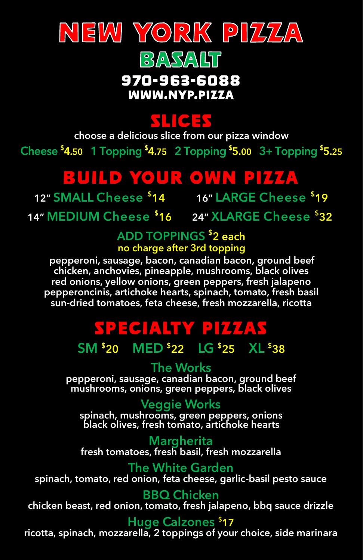



#### 970-963-6088 WWW.NYP.PIZZA

### **KLICH**

**choose a delicious slice from our pizza window**Cheese  $$4.50$  1 Topping  $$4.75$  2 Topping  $$5.00$  3+ Topping  $$5.25$ 

### **BUILD YOUR OWN PIZZA**

**12" SMALL Cheese \$ 14 16" LARGE Cheese \$ 19**

**14" MEDIUM Cheese \$ 16 24" XLARGE Cheese \$ 32**

# **ADD TOPPINGS \$ 2 each**

**no charge after 3rd topping pepperoni, sausage, bacon, canadian bacon, ground beef chicken, anchovies, pineapple, mushrooms, black olives red onions, yellow onions, green peppers, fresh jalapeno pepperoncinis, artichoke hearts, spinach, tomato, fresh basil sun-dried tomatoes, feta cheese, fresh mozzarella, ricotta**

## SPECIALTY PIZZAS

**SM \$ 20 MED \$ 22 LG \$ 25 XL \$ 38**

**The Works pepperoni, sausage, canadian bacon, ground beef mushrooms, onions, green peppers, black olives**

**Veggie Works spinach, mushrooms, green peppers, onions black olives, fresh tomato, artichoke hearts**

**Margherita fresh tomatoes, fresh basil, fresh mozzarella**

**The White Garden spinach, tomato, red onion, feta cheese, garlic-basil pesto sauce**

**BBQ Chicken chicken beast, red onion, tomato, fresh jalapeno, bbq sauce drizzle**

#### **Huge Calzones \$17**

**ricotta, spinach, mozzarella, 2 toppings of your choice, side marinara**